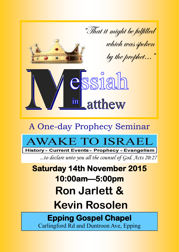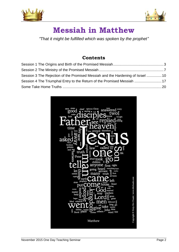



# **Messiah in Matthew**

*"That it might be fulfilled which was spoken by the prophet"*

# **Contents**

| Session 3 The Rejection of the Promised Messiah and the Hardening of Israel 10 |  |
|--------------------------------------------------------------------------------|--|
| Session 4 The Triumphal Entry to the Return of the Promised Messiah  17        |  |
|                                                                                |  |

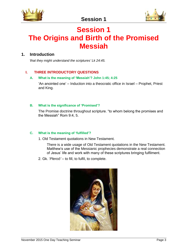



# <span id="page-2-0"></span>**Session 1 The Origins and Birth of the Promised Messiah**

## **1. Introduction**

*'that they might understand the scriptures' Lk 24:45.*

#### **I. THREE INTRODUCTORY QUESTIONS**

#### **A. What is the meaning of 'Messiah'? John 1:45; 4:25**

'An anointed one' – Induction into a theocratic office in Israel – Prophet, Priest and King.

#### **B. What is the significance of 'Promised'?**

The Promise doctrine throughout scripture. "to whom belong the promises and the Messiah" Rom 9:4, 5.

#### **C. What is the meaning of 'fulfilled'?**

1. Old Testament quotations in New Testament.

There is a wide usage of Old Testament quotations in the New Testament. Matthew's use of the Messianic prophecies demonstrate a real connection of Jesus' life and work with many of these scriptures bringing fulfilment.

2. Gk. '*Pleroō'* – to fill, to fulfil, to complete.

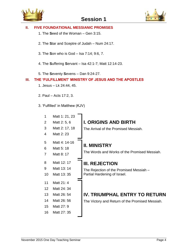



#### **II. FIVE FOUNDATIONAL MESSIANIC PROMISES**

- 1. The **S**eed of the Woman Gen 3:15.
- 2. The **S**tar and Sceptre of Judah Num 24:17.
- 3. The **S**on who is God Isa 7:14; 9:6, 7.
- 4. The **S**uffering **S**ervant Isa 42:1-7; Matt 12:14-23.
- 5. The **S**eventy **S**evens Dan 9:24-27.

#### **III. THE 'FULFILLMENT' MINISTRY OF JESUS AND THE APOSTLES**

- 1. Jesus Lk 24:44, 45.
- 2. Paul Acts 17:2, 3.
- 3. 'Fulfilled' in Matthew (KJV)

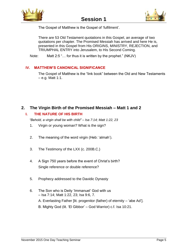



The Gospel of Matthew is the Gospel of 'fulfilment'.

There are 53 Old Testament quotations in this Gospel, an average of two quotations per chapter. The Promised Messiah has arrived and here He is, presented in this Gospel from His ORIGINS, MINISTRY, REJECTION, and TRIUMPHAL ENTRY into Jerusalem, to His Second Coming.

Note: Matt 2:5 "… for thus it is written by the prophet." (NKJV)

#### **IV. MATTHEW'S CANONICAL SIGNIFICANCE**

The Gospel of Matthew is the "link book" between the Old and New Testaments – e.g. Matt 1:1.

#### **2. The Virgin Birth of the Promised Messiah – Matt 1 and 2**

#### **I. THE NATURE OF HIS BIRTH**

*"Behold, a virgin shall be with child" – Isa 7:14; Matt 1:22, 23*

- 1. Virgin or young woman? What is the sign?
- 2. The meaning of the word virgin (Heb: 'almah').
- 3. The Testimony of the LXX (c. 200B.C.)
- 4. A Sign 750 years before the event of Christ's birth? Single reference or double reference?
- 5. Prophecy addressed to the Davidic Dynasty
- 6. The Son who is Deity 'Immanuel' God with us – Isa 7:14; Matt 1:22, 23; Isa 9:6, 7.
	- A. Everlasting Father [lit. progenitor (father) of eternity 'abe Ad'].
	- B. Mighty God (lit. 'El Gibbor' God Warrior) c.f. Isa 10:21.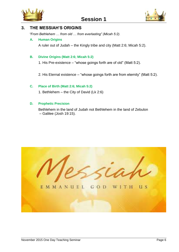



#### **3. THE MESSIAH'S ORIGINS**

*"From Bethlehem … from old … from everlasting" (Micah 5:2).*

#### **A. Human Origins**

A ruler out of Judah – the Kingly tribe and city (Matt 2:6; Micah 5:2).

#### **B. Divine Origins (Matt 2:6; Micah 5:2)**

1. His Pre-existence – "whose goings forth are of old" (Matt 5:2).

2. His Eternal existence – "whose goings forth are from eternity" (Matt 5:2).

#### **C. Place of Birth (Matt 2:6; Micah 5:2)**

1. Bethlehem – the City of David (Lk 2:6)

#### **D. Prophetic Precision**

Bethlehem in the land of Judah not Bethlehem in the land of Zebulon – Galilee (Josh 19:15).

EMMANUEL GOD WITH **H** S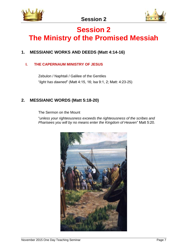

# <span id="page-6-0"></span>**Session 2 The Ministry of the Promised Messiah**

# **1. MESSIANIC WORKS AND DEEDS (Matt 4:14-16)**

## **I. THE CAPERNAUM MINISTRY OF JESUS**

Zebulon / Naphtali / Galilee of the Gentiles "*light has dawned*" (Matt 4:15, 16; Isa 9:1, 2; Matt: 4:23-25)

## **2. MESSIANIC WORDS (Matt 5:18-20)**

The Sermon on the Mount

"*unless your righteousness exceeds the righteousness of the scribes and Pharisees you will by no means enter the Kingdom of Heaven*" Matt 5:20.

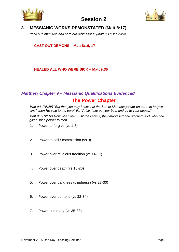



## **3. MESSIANIC WORKS DEMONSTATED (Matt 8:17)**

*"took our infirmities and bore our sicknesses" (Matt 8:17; Isa 53:4).*

**I. CAST OUT DEMONS – Matt 8:16, 17**

#### **II. HEALED ALL WHO WERE SICK – Matt 9:35**

# *Matthew Chapter 9 – Messianic Qualifications Evidenced*

# **The Power Chapter**

*Matt 9:6 (NKJV) "But that you may know that the Son of Man has power on earth to forgive sins"–then He said to the paralytic, "Arise, take up your bed, and go to your house."* 

*Matt 9:8 (NKJV) Now when the multitudes saw it, they marvelled and glorified God, who had given such power to men.* 

- 1. Power to forgive (vs 1-8)
- 2. Power to call / commission (vs 9)
- 3. Power over religious tradition (vs 14-17)
- 4. Power over death (vs 18-26)
- 5. Power over darkness (blindness) (vs 27-30)
- 6. Power over demons (vs 32-34)
- 7. Power summary (vs 35-38)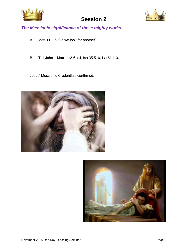



*The Messianic significance of these mighty works.*

- A. Matt 11:2-6 "Do we look for another".
- B. Tell John Matt 11:2-6; c.f. Isa 35:5, 6; Isa 61:1-3.

Jesus' Messianic Credentials confirmed.



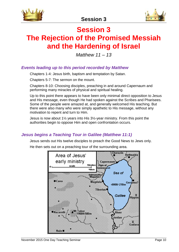



# <span id="page-9-0"></span>**Session 3 The Rejection of the Promised Messiah and the Hardening of Israel**

*Matthew 11 – 13*

## *Events leading up to this period recorded by Matthew*

Chapters 1-4: Jesus birth, baptism and temptation by Satan.

Chapters 5-7: The sermon on the mount.

Chapters 8-10: Choosing disciples, preaching in and around Capernaum and performing many miracles of physical and spiritual healing.

Up to this point there appears to have been only minimal direct opposition to Jesus and His message, even though He had spoken against the Scribes and Pharisees. Some of the people were amazed at, and generally welcomed His teaching. But there were also many who were simply apathetic to His message, without any motivation to repent and turn to Him.

Jesus is now about 1½ years into His 3½-year ministry. From this point the authorities begin to oppose Him and open confrontation occurs.

# *Jesus begins a Teaching Tour in Galilee (Matthew 11:1)*

Jesus sends out His twelve disciples to preach the Good News to Jews only.

He then sets out on a preaching tour of the surrounding area.

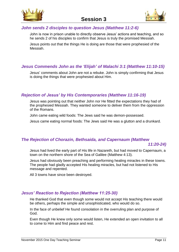



#### *John sends 2 disciples to question Jesus (Matthew 11:2-6)*

John is now in prison unable to directly observe Jesus' actions and teaching, and so he sends 2 of his disciples to confirm that Jesus is truly the promised Messiah.

Jesus points out that the things He is doing are those that were prophesied of the Messiah.

## *Jesus Commends John as the 'Elijah' of Malachi 3:1 (Matthew 11:10-15)*

Jesus' comments about John are not a rebuke. John is simply confirming that Jesus is doing the things that were prophesied about Him.

#### *Rejection of Jesus' by His Contemporaries (Matthew 11:16-19)*

Jesus was pointing out that neither John nor He fitted the expectations they had of the prophesied Messiah. They wanted someone to deliver them from the oppression of the Romans.

John came eating wild foods: The Jews said he was demon-possessed.

Jesus came eating normal foods: The Jews said He was a glutton and a drunkard.

#### *The Rejection of Chorazin, Bethsaida, and Capernaum (Matthew*

*11:20-24)*

Jesus had lived the early part of His life in Nazareth, but had moved to Capernaum, a town on the northern shore of the Sea of Galilee (Matthew 4:13).

Jesus had obviously been preaching and performing healing miracles in these towns. The people had gladly accepted His healing miracles, but had not listened to His message and repented.

All 3 towns have since been destroyed.

## *Jesus' Reaction to Rejection (Matthew 11:25-30)*

He thanked God that even though some would not accept His teaching there would be others, perhaps the simple and unsophisticated, who would do so.

In the face of unbelief He found consolation in the overruling plan and purpose of God.

Even though He knew only some would listen, He extended an open invitation to all to come to Him and find peace and rest.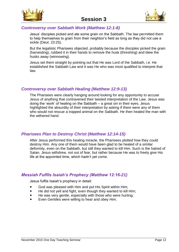



## *Controversy over Sabbath Work (Matthew 12:1-8)*

Jesus' disciples picked and ate some grain on the Sabbath. The law permitted them to help themselves to grain from their neighbor's field as long as they did not use a sickle (Deut. 23:25).

But the legalistic Pharisees objected, probably because the disciples picked the grain (harvesting), rubbed it in their hands to remove the husk (threshing) and blew the husks away (winnowing).

Jesus set them straight by pointing out that He was Lord of the Sabbath, i.e. He established the Sabbath Law and it was He who was most qualified to interpret that law.

## *Controversy over Sabbath Healing (Matthew 12:9-13)*

The Pharisees were clearly hanging around looking for any opportunity to accuse Jesus of anything that contravened their twisted interpretation of the Law. Jesus was doing the 'work' of healing on the Sabbath – a great sin in their eyes. Jesus highlighted the absurdity of their interpretation by asking if there were any of them who would not rescue a trapped animal on the Sabbath. He then healed the man with the withered hand.

## *Pharisees Plan to Destroy Christ (Matthew 12:14-15)*

After Jesus performed this healing miracle, the Pharisees plotted how they could destroy Him. Any one of them would have been glad to be healed of a similar deformity, even on the Sabbath, but still they wanted to kill Him. Such is the hatred of Satan. Jesus withdrew, not out of fear, but rather because He was to freely give His life at the appointed time, which hadn't yet come.

## *Messiah Fulfils Isaiah's Prophecy (Matthew 12:16-21)*

Jesus fulfils Isaiah's prophecy in detail:

- God was pleased with Him and put His Spirit within Him;
- He did not yell and fight, even though they wanted to kill Him;
- He was very gentle, especially with those who were hurting;
- Even Gentiles were willing to hear and obey Him.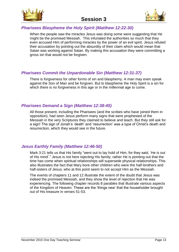



## *Pharisees Blaspheme the Holy Spirit (Matthew 12:22-30)*

When the people saw the miracles Jesus was doing some were suggesting that He might be the promised Messiah. This infuriated the authorities so much that they even accused Him of performing miracles by the power of an evil spirit. Jesus refuted their accusation by pointing out the absurdity of their claim which would mean that Satan was working against Satan. By making this accusation they were committing a gross sin that would not be forgiven.

## *Pharisees Commit the Unpardonable Sin (Matthew 12:31-37)*

There is forgiveness for other forms of sin and blasphemy. A man may even speak against the Son of Man and be forgiven. But to blaspheme the Holy Spirit is a sin for which there is no forgiveness in this age or in the millennial age to come.

#### *Pharisees Demand a Sign (Matthew 12:38-45)*

All those present, including the Pharisees (and the scribes who have joined them in opposition), had seen Jesus perform many signs that were prophesied of the Messiah in the very Scriptures they claimed to believe and teach. But they still ask for a sign! The sign of Jonah's 'death' and 'resurrection' was a type of Christ's death and resurrection, which they would see in the future.

## *Jesus Earthly Family (Matthew 12:46-50)*

Mark 3:21 tells us that His family "went out to lay hold of Him, for they said, 'He is out of His mind'." Jesus is not here rejecting His family; rather He is pointing out that the time has come when spiritual relationships will supersede physical relationships. This also illustrates the fact that Mary bore other children who were the half-brothers and half-sisters of Jesus, who at this point seem to not accept Him as the Messiah.

The events of chapters 11 and 12 illustrate the extent of the doubt that Jesus was indeed the promised Messiah, and they show the level of rejection that He was experiencing. The following chapter records 8 parables that illustrate various aspects of the Kingdom of Heaven. These are the 'things new' that the householder brought out of His treasure in verses 51-53.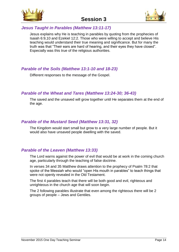



#### *Jesus Taught in Parables (Matthew 13:11-17)*

Jesus explains why He is teaching in parables by quoting from the prophecies of Isaiah 6:9,10 and Ezekiel 12:2. Those who were willing to accept and believe His teaching would understand their true meaning and significance. But for many the truth was that "Their ears are hard of hearing, and their eyes they have closed". Especially was this true of the religious authorities.

## *Parable of the Soils (Matthew 13:1-10 and 18-23)*

Different responses to the message of the Gospel.

## *Parable of the Wheat and Tares (Matthew 13:24-30; 36-43)*

The saved and the unsaved will grow together until He separates them at the end of the age.

## *Parable of the Mustard Seed (Matthew 13:31, 32)*

The Kingdom would start small but grow to a very large number of people. But it would also have unsaved people dwelling with the saved.

## *Parable of the Leaven (Matthew 13:33)*

The Lord warns against the power of evil that would be at work in the coming church age, particularly through the teaching of false doctrine.

In verses 34 and 35 Matthew draws attention to the prophecy of Psalm 78:2 that spoke of the Messiah who would "open His mouth in parables" to teach things that were not openly revealed in the Old Testament.

The first 4 parables teach that there will be both good and evil, righteous and unrighteous in the church age that will soon begin.

The 2 following parables illustrate that even among the righteous there will be 2 groups of people – Jews and Gentiles.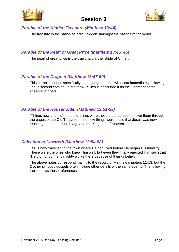



#### *Parable of the Hidden Treasure (Matthew 13:44)*

The treasure is the nation of Israel 'hidden' amongst the nations of the world.

#### *Parable of the Pearl of Great Price (Matthew 13:45, 46)*

The pearl of great price is the true church, the 'Bride of Christ'.

#### *Parable of the Dragnet (Matthew 13:47-50)*

This parable applies specifically to the judgment that will occur immediately following Jesus second coming. In Matthew 25 Jesus described it as the judgment of the sheep and goats.

#### *Parable of the Householder (Matthew 13:51-53)*

"Things new and old" – the old things were those that had been shown them through the pages of the Old Testament; the new things were those that Jesus was now teaching about the church age and the Kingdom of Heaven.

#### *Rejection at Nazareth (Matthew 13:54-58)*

Jesus now travelled to the town where He had lived before He began His ministry. These were the ones who knew Him well; but even they finally rejected Him such that "He did not do many mighty works there because of their unbelief."

The above notes correspond mainly to the record of Matthew chapters 11-13, but the 2 other synoptic gospels often include other details of the same events. The following table shows those references.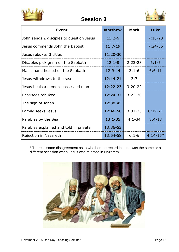

**Session 3**



| <b>Event</b>                             | <b>Matthew</b> | <b>Mark</b> | <b>Luke</b> |
|------------------------------------------|----------------|-------------|-------------|
| John sends 2 disciples to question Jesus | $11:2-6$       |             | $7:18-23$   |
| Jesus commends John the Baptist          | $11:7-19$      |             | $7:24-35$   |
| Jesus rebukes 3 cities                   | 11:20-30       |             |             |
| Disciples pick grain on the Sabbath      | $12:1 - 8$     | $2:23-28$   | $6:1 - 5$   |
| Man's hand healed on the Sabbath         | $12:9-14$      | $3:1-6$     | $6:6-11$    |
| Jesus withdraws to the sea               | $12:14-21$     | 3:7         |             |
| Jesus heals a demon-possessed man        | 12:22-23       | $3:20-22$   |             |
| Pharisees rebuked                        | 12:24-37       | $3:22 - 30$ |             |
| The sign of Jonah                        | 12:38-45       |             |             |
| Family seeks Jesus                       | 12:46-50       | $3:31-35$   | $8:19-21$   |
| Parables by the Sea                      | $13:1-35$      | $4:1 - 34$  | $8:4-18$    |
| Parables explained and told in private   | 13:36-53       |             |             |
| Rejection in Nazareth                    | 13:54-58       | $6:1-6$     | $4:14-15*$  |

\* There is some disagreement as to whether the record in Luke was the same or a different occasion when Jesus was rejected in Nazareth.

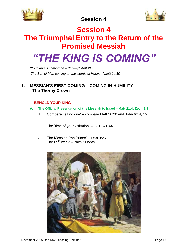



# **Session 4**

# <span id="page-16-0"></span>**The Triumphal Entry to the Return of the Promised Messiah**

# *"THE KING IS COMING"*

*"Your king is coming on a donkey" Matt 21:5 "The Son of Man coming on the clouds of Heaven" Matt 24:30*

#### **1. MESSIAH'S FIRST COMING – COMING IN HUMILITY - The Thorny Crown**

#### **I. BEHOLD YOUR KING**

#### **A. The Official Presentation of the Messiah to Israel – Matt 21:4; Zech 9:9**

- 1. Compare 'tell no one' compare Matt 16:20 and John 6:14, 15.
- 2. The 'time of your visitation' Lk 19:41-44.
- 3. The Messiah "the Prince" Dan 9:26. The  $69<sup>th</sup>$  week – Palm Sunday.

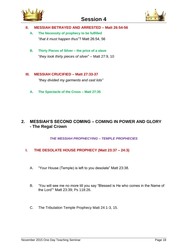



#### **II. MESSIAH BETRAYED AND ARRESTED – Matt 26:54-56**

**A. The Necessity of prophecy to be fulfilled** "*that it must happen thus*"? Matt 26:54, 56

**B. Thirty Pieces of Silver – the price of a slave** "*they took thirty pieces of silver*" – Matt 27:9, 10

#### **III. MESSIAH CRUCIFIED – Matt 27:33-37**

*"they divided my garments and cast lots"*

**A. The Spectacle of the Cross – Matt 27:35**

#### **2. MESSIAH'S SECOND COMING – COMING IN POWER AND GLORY - The Regal Crown**

*THE MESSIAH PROPHECYING – TEMPLE PROPHECIES*

#### **I. THE DESOLATE HOUSE PROPHECY (Matt 23:37 – 24:3)**

- A. "Your House (Temple) is left to you desolate" Matt 23:38.
- B. 'You will see me no more till you say "Blessed is He who comes in the Name of the Lord"" Matt 23:39; Ps 118:26.
- C. The Tribulation Temple Prophecy Matt 24:1-3, 15.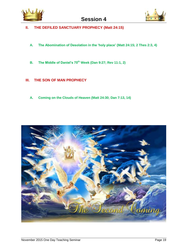



- **II. THE DEFILED SANCTUARY PROPHECY (Matt 24:15)**
	- **A. The Abomination of Desolation in the 'holy place' (Matt 24:15; 2 Thes 2:3, 4)**
	- **B. The Middle of Daniel's 70th Week (Dan 9:27; Rev 11:1, 2)**
- **III. THE SON OF MAN PROPHECY**
	- **A. Coming on the Clouds of Heaven (Matt 24:30; Dan 7:13, 14)**